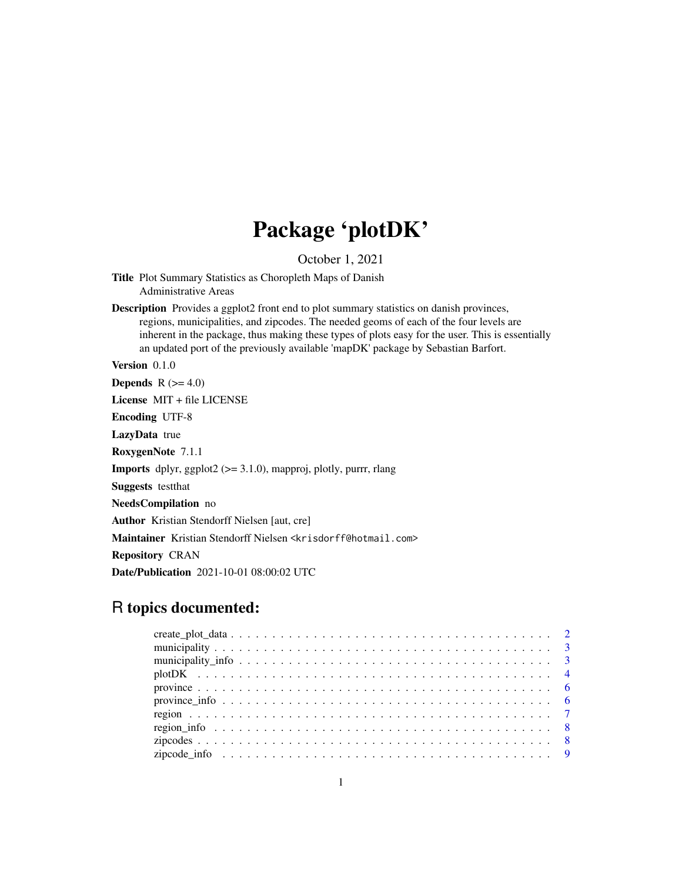## Package 'plotDK'

October 1, 2021

Title Plot Summary Statistics as Choropleth Maps of Danish Administrative Areas

Description Provides a ggplot2 front end to plot summary statistics on danish provinces, regions, municipalities, and zipcodes. The needed geoms of each of the four levels are inherent in the package, thus making these types of plots easy for the user. This is essentially an updated port of the previously available 'mapDK' package by Sebastian Barfort.

Version 0.1.0

**Depends**  $R$  ( $>= 4.0$ )

License MIT + file LICENSE

Encoding UTF-8

LazyData true

RoxygenNote 7.1.1

**Imports** dplyr, ggplot2 ( $> = 3.1.0$ ), mapproj, plotly, purrr, rlang

Suggests testthat

NeedsCompilation no

Author Kristian Stendorff Nielsen [aut, cre]

Maintainer Kristian Stendorff Nielsen <krisdorff@hotmail.com>

Repository CRAN

Date/Publication 2021-10-01 08:00:02 UTC

### R topics documented: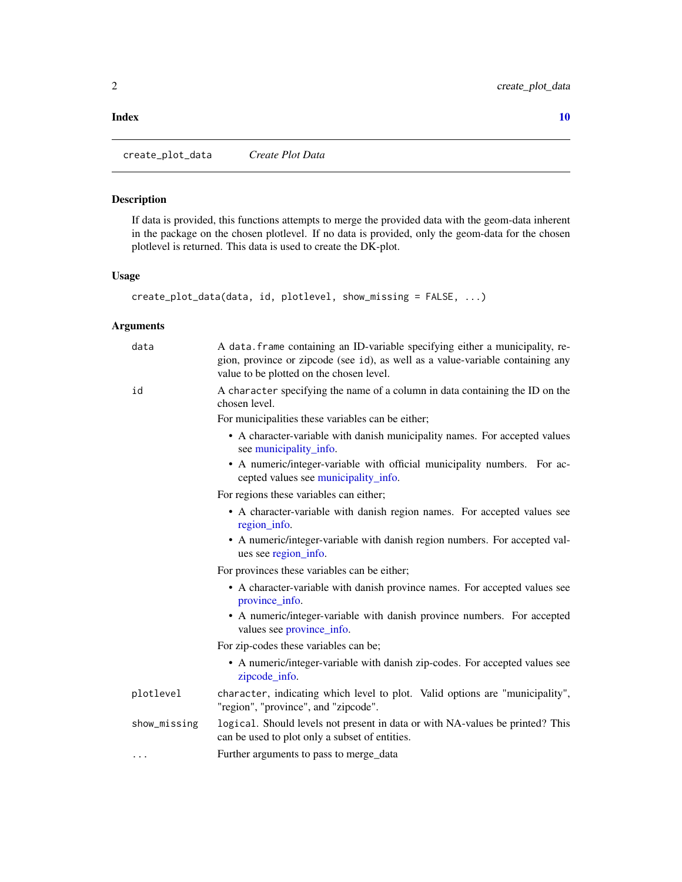#### <span id="page-1-0"></span> $\blacksquare$

create\_plot\_data *Create Plot Data*

#### Description

If data is provided, this functions attempts to merge the provided data with the geom-data inherent in the package on the chosen plotlevel. If no data is provided, only the geom-data for the chosen plotlevel is returned. This data is used to create the DK-plot.

#### Usage

```
create_plot_data(data, id, plotlevel, show_missing = FALSE, ...)
```
#### Arguments

| data         | A data. frame containing an ID-variable specifying either a municipality, re-<br>gion, province or zipcode (see id), as well as a value-variable containing any<br>value to be plotted on the chosen level. |
|--------------|-------------------------------------------------------------------------------------------------------------------------------------------------------------------------------------------------------------|
| id           | A character specifying the name of a column in data containing the ID on the<br>chosen level.                                                                                                               |
|              | For municipalities these variables can be either;                                                                                                                                                           |
|              | • A character-variable with danish municipality names. For accepted values<br>see municipality_info.                                                                                                        |
|              | • A numeric/integer-variable with official municipality numbers. For ac-<br>cepted values see municipality_info.                                                                                            |
|              | For regions these variables can either;                                                                                                                                                                     |
|              | • A character-variable with danish region names. For accepted values see<br>region_info.                                                                                                                    |
|              | • A numeric/integer-variable with danish region numbers. For accepted val-<br>ues see region_info.                                                                                                          |
|              | For provinces these variables can be either;                                                                                                                                                                |
|              | • A character-variable with danish province names. For accepted values see<br>province_info.                                                                                                                |
|              | • A numeric/integer-variable with danish province numbers. For accepted<br>values see province_info.                                                                                                        |
|              | For zip-codes these variables can be;                                                                                                                                                                       |
|              | • A numeric/integer-variable with danish zip-codes. For accepted values see<br>zipcode_info.                                                                                                                |
| plotlevel    | character, indicating which level to plot. Valid options are "municipality",<br>"region", "province", and "zipcode".                                                                                        |
| show_missing | logical. Should levels not present in data or with NA-values be printed? This<br>can be used to plot only a subset of entities.                                                                             |
| .            | Further arguments to pass to merge_data                                                                                                                                                                     |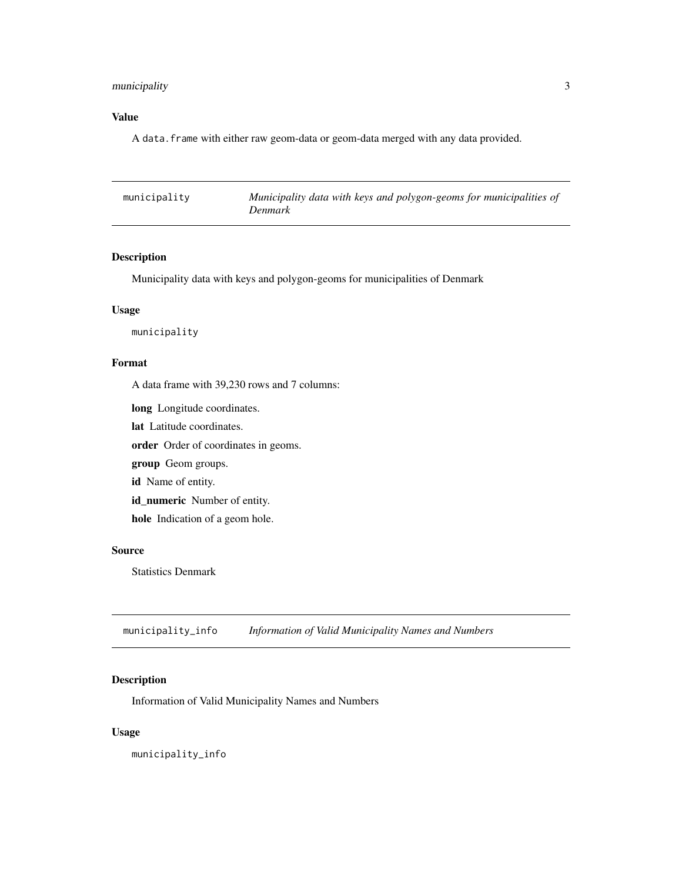#### <span id="page-2-0"></span>municipality 3

#### Value

A data.frame with either raw geom-data or geom-data merged with any data provided.

| municipality | Municipality data with keys and polygon-geoms for municipalities of<br>Denmark |
|--------------|--------------------------------------------------------------------------------|
|              |                                                                                |

#### Description

Municipality data with keys and polygon-geoms for municipalities of Denmark

#### Usage

municipality

#### Format

A data frame with 39,230 rows and 7 columns:

long Longitude coordinates.

lat Latitude coordinates.

order Order of coordinates in geoms.

group Geom groups.

id Name of entity.

id\_numeric Number of entity.

hole Indication of a geom hole.

#### Source

Statistics Denmark

<span id="page-2-1"></span>municipality\_info *Information of Valid Municipality Names and Numbers*

#### Description

Information of Valid Municipality Names and Numbers

#### Usage

municipality\_info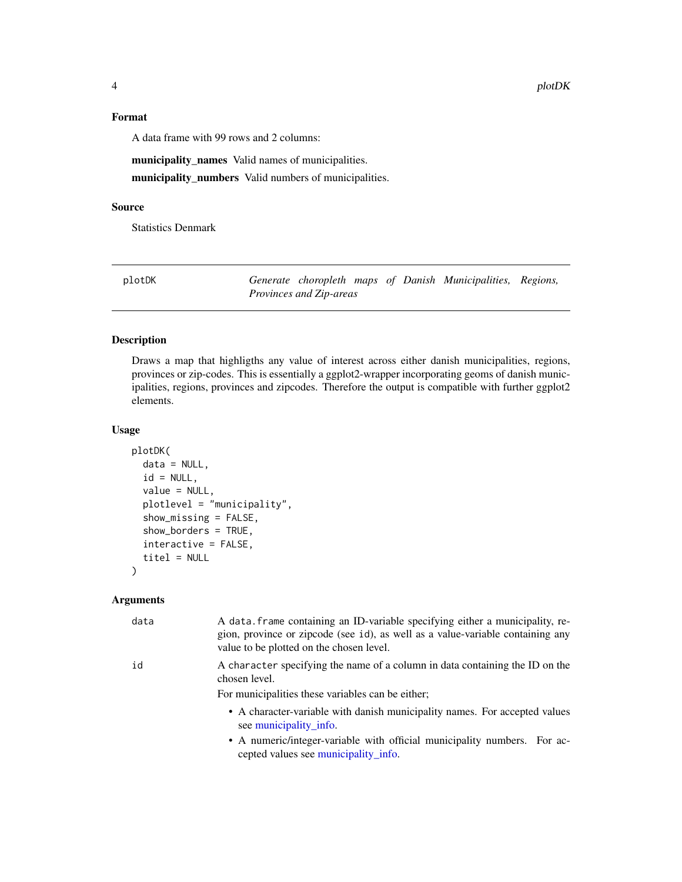#### <span id="page-3-0"></span>Format

A data frame with 99 rows and 2 columns:

municipality\_names Valid names of municipalities. municipality\_numbers Valid numbers of municipalities.

#### Source

Statistics Denmark

| plotDK |                                |  | Generate choropleth maps of Danish Municipalities, Regions, |  |
|--------|--------------------------------|--|-------------------------------------------------------------|--|
|        | <i>Provinces and Zip-areas</i> |  |                                                             |  |

#### Description

Draws a map that highligths any value of interest across either danish municipalities, regions, provinces or zip-codes. This is essentially a ggplot2-wrapper incorporating geoms of danish municipalities, regions, provinces and zipcodes. Therefore the output is compatible with further ggplot2 elements.

#### Usage

```
plotDK(
  data = NULL,id = NULL,value = NULL,
  plotlevel = "municipality",
  show_missing = FALSE,
  show_borders = TRUE,
  interactive = FALSE,
  titel = NULL
)
```
#### Arguments

| data | A data frame containing an ID-variable specifying either a municipality, re-<br>gion, province or zipcode (see id), as well as a value-variable containing any<br>value to be plotted on the chosen level. |
|------|------------------------------------------------------------------------------------------------------------------------------------------------------------------------------------------------------------|
| id   | A character specifying the name of a column in data containing the ID on the<br>chosen level.<br>For municipalities these variables can be either;                                                         |
|      | • A character-variable with danish municipality names. For accepted values<br>see municipality info.                                                                                                       |
|      | • A numeric/integer-variable with official municipality numbers. For ac-<br>cepted values see municipality_info.                                                                                           |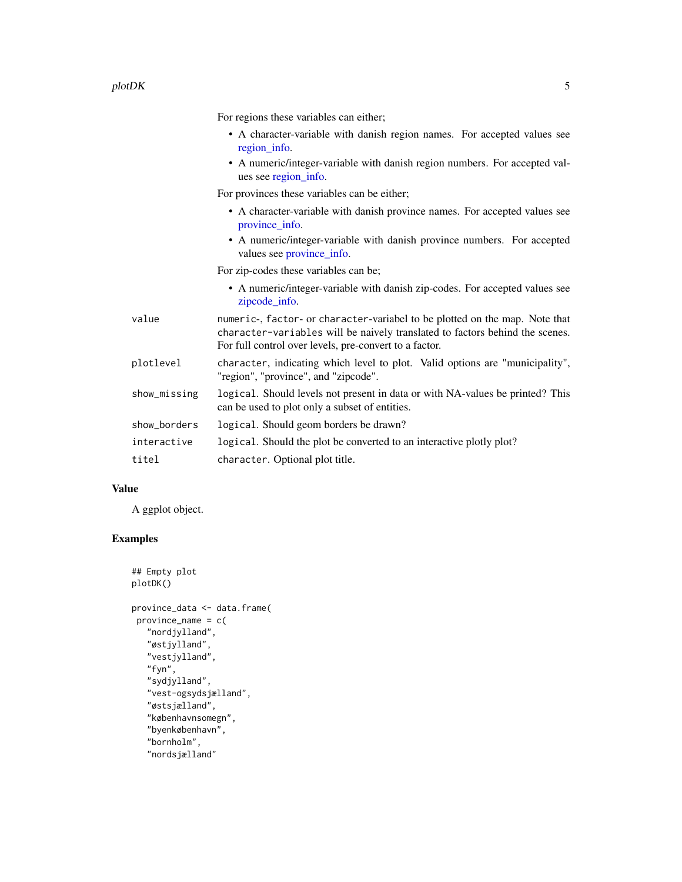<span id="page-4-0"></span>For regions these variables can either;

- A character-variable with danish region names. For accepted values see [region\\_info.](#page-7-1)
- A numeric/integer-variable with danish region numbers. For accepted values see [region\\_info.](#page-7-1)

For provinces these variables can be either;

- A character-variable with danish province names. For accepted values see [province\\_info.](#page-5-1)
- A numeric/integer-variable with danish province numbers. For accepted values see [province\\_info.](#page-5-1)

For zip-codes these variables can be;

• A numeric/integer-variable with danish zip-codes. For accepted values see [zipcode\\_info.](#page-8-1)

| value        | numeric-, factor- or character-variabel to be plotted on the map. Note that<br>character-variables will be naively translated to factors behind the scenes.<br>For full control over levels, pre-convert to a factor. |  |  |  |
|--------------|-----------------------------------------------------------------------------------------------------------------------------------------------------------------------------------------------------------------------|--|--|--|
| plotlevel    | character, indicating which level to plot. Valid options are "municipality",<br>"region", "province", and "zipcode".                                                                                                  |  |  |  |
| show_missing | logical. Should levels not present in data or with NA-values be printed? This<br>can be used to plot only a subset of entities.                                                                                       |  |  |  |
| show_borders | logical. Should geom borders be drawn?                                                                                                                                                                                |  |  |  |
| interactive  | logical. Should the plot be converted to an interactive plotly plot?                                                                                                                                                  |  |  |  |
| titel        | character. Optional plot title.                                                                                                                                                                                       |  |  |  |

#### Value

A ggplot object.

#### Examples

```
## Empty plot
plotDK()
province_data <- data.frame(
province_name = c(
   "nordjylland",
   "østjylland",
  "vestjylland",
   "fyn",
  "sydjylland",
   "vest-ogsydsjælland",
   "østsjælland",
   "københavnsomegn",
   "byenkøbenhavn",
   "bornholm",
   "nordsjælland"
```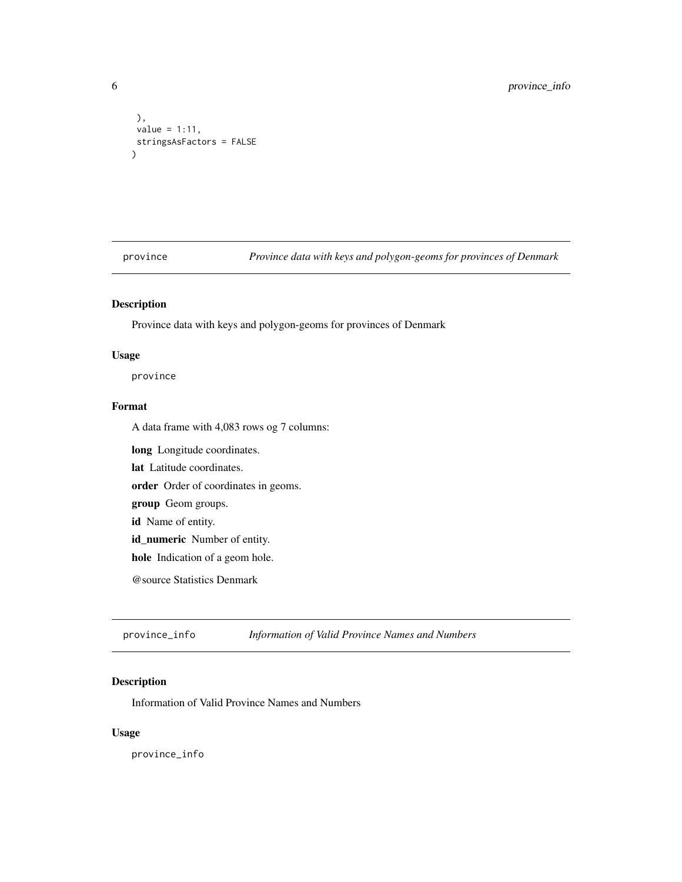```
),
value = 1:11,
stringsAsFactors = FALSE
\lambda
```
province *Province data with keys and polygon-geoms for provinces of Denmark*

#### Description

Province data with keys and polygon-geoms for provinces of Denmark

#### Usage

province

#### Format

A data frame with 4,083 rows og 7 columns:

long Longitude coordinates.

lat Latitude coordinates.

order Order of coordinates in geoms.

group Geom groups.

id Name of entity.

id\_numeric Number of entity.

hole Indication of a geom hole.

@source Statistics Denmark

<span id="page-5-1"></span>province\_info *Information of Valid Province Names and Numbers*

#### Description

Information of Valid Province Names and Numbers

#### Usage

province\_info

<span id="page-5-0"></span>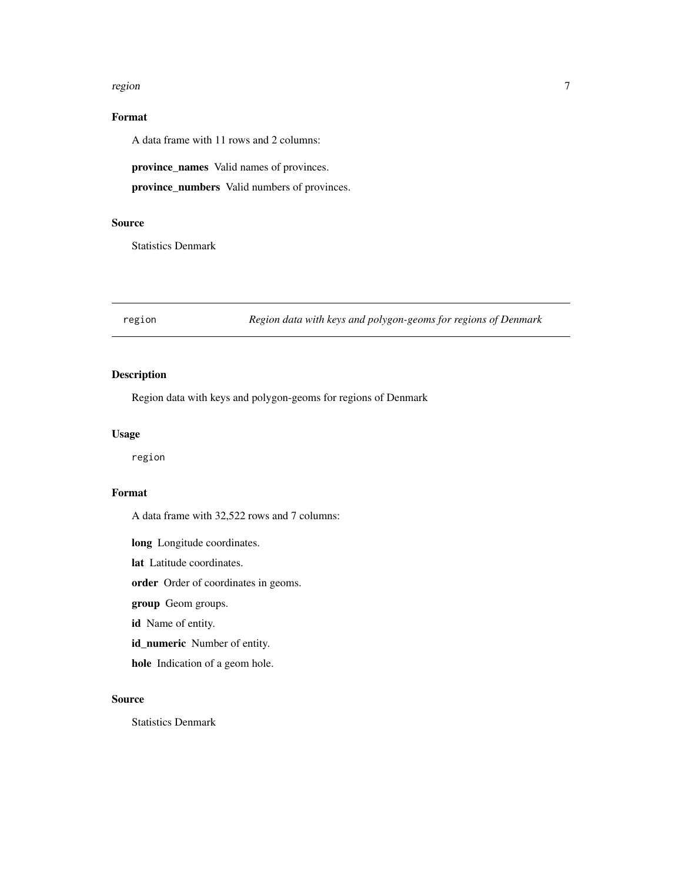#### <span id="page-6-0"></span>region and the contract of the contract of the contract of the contract of the contract of the contract of the contract of the contract of the contract of the contract of the contract of the contract of the contract of the

#### Format

A data frame with 11 rows and 2 columns:

province\_names Valid names of provinces.

province\_numbers Valid numbers of provinces.

#### Source

Statistics Denmark

region *Region data with keys and polygon-geoms for regions of Denmark*

#### Description

Region data with keys and polygon-geoms for regions of Denmark

#### Usage

region

#### Format

A data frame with 32,522 rows and 7 columns:

long Longitude coordinates.

lat Latitude coordinates.

order Order of coordinates in geoms.

group Geom groups.

id Name of entity.

id\_numeric Number of entity.

hole Indication of a geom hole.

#### Source

Statistics Denmark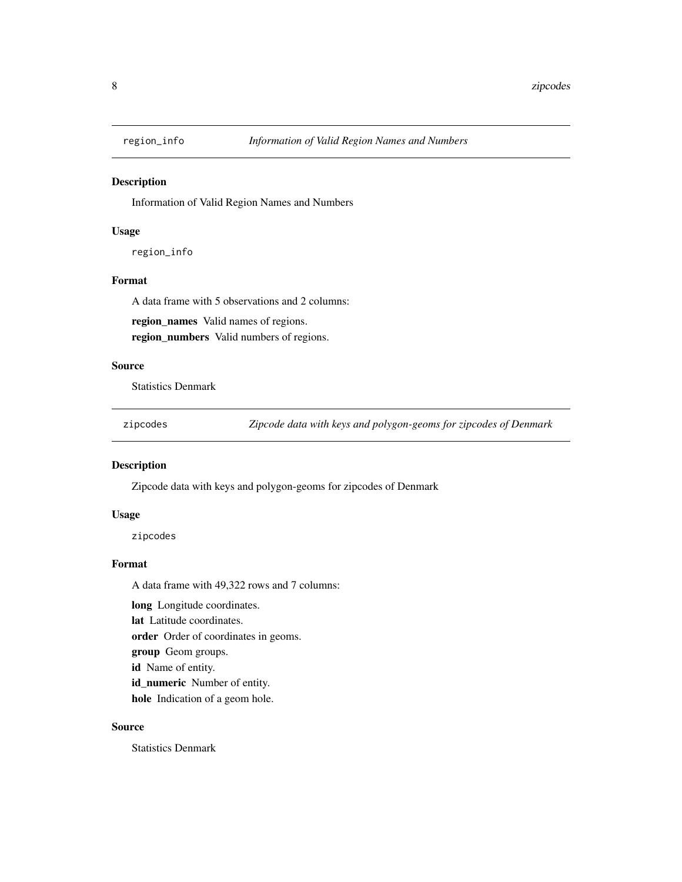<span id="page-7-1"></span><span id="page-7-0"></span>

#### Description

Information of Valid Region Names and Numbers

#### Usage

region\_info

#### Format

A data frame with 5 observations and 2 columns:

region\_names Valid names of regions. region\_numbers Valid numbers of regions.

#### Source

Statistics Denmark

zipcodes *Zipcode data with keys and polygon-geoms for zipcodes of Denmark*

#### Description

Zipcode data with keys and polygon-geoms for zipcodes of Denmark

#### Usage

zipcodes

#### Format

A data frame with 49,322 rows and 7 columns:

long Longitude coordinates.

lat Latitude coordinates.

order Order of coordinates in geoms.

group Geom groups.

id Name of entity.

id\_numeric Number of entity.

hole Indication of a geom hole.

#### Source

Statistics Denmark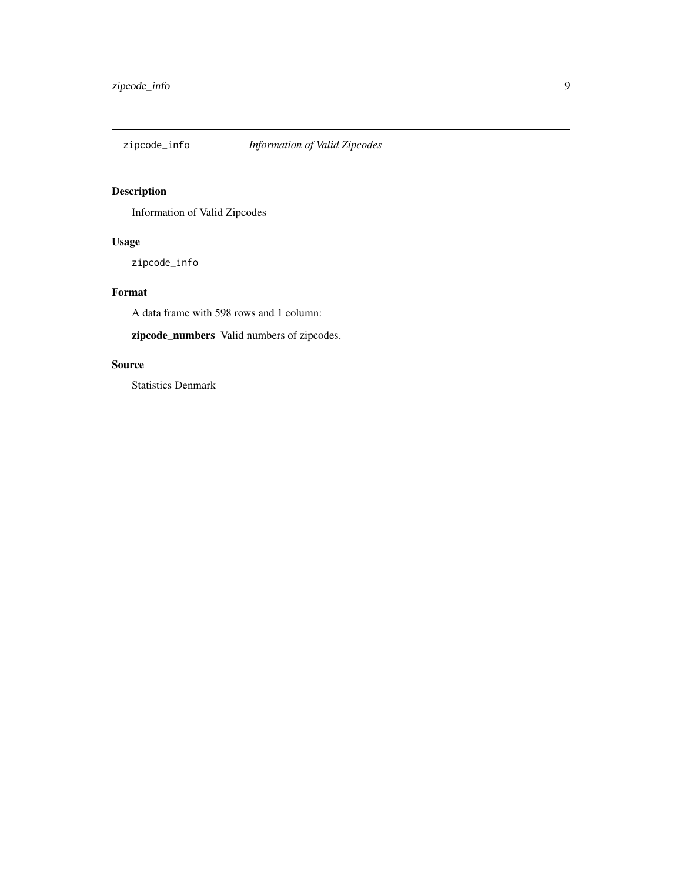<span id="page-8-1"></span><span id="page-8-0"></span>

#### Description

Information of Valid Zipcodes

#### Usage

zipcode\_info

#### Format

A data frame with 598 rows and 1 column:

zipcode\_numbers Valid numbers of zipcodes.

#### Source

Statistics Denmark